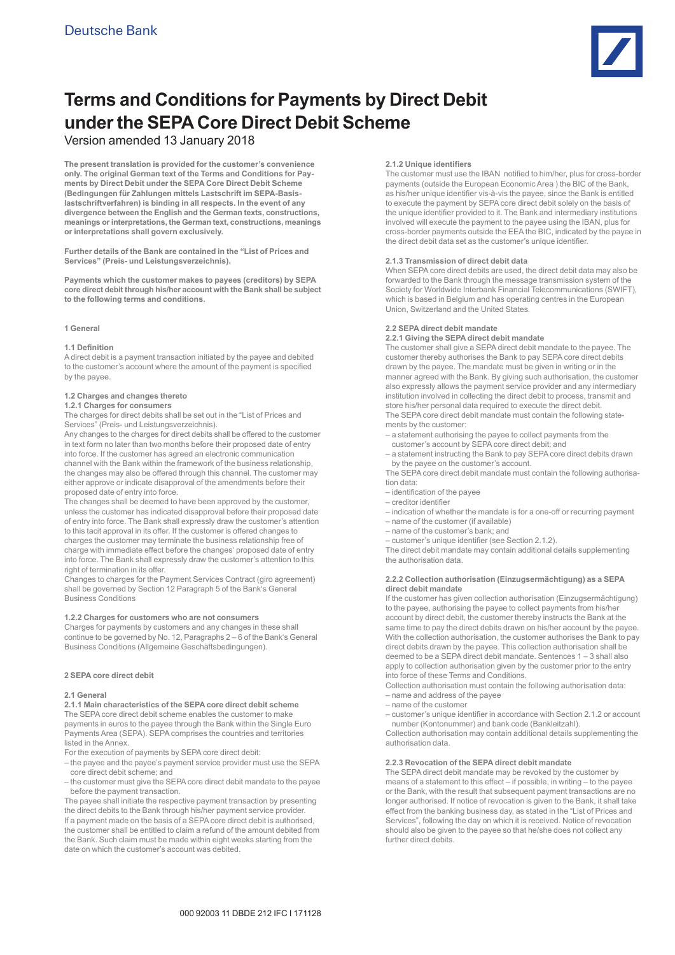

# **Terms and Conditions for Payments by Direct Debit under the SEPA Core Direct Debit Scheme**

## Version amended 13 January 2018

**The present translation is provided for the customer's convenience only. The original German text of the Terms and Conditions for Payments by Direct Debit under the SEPA Core Direct Debit Scheme (Bedingungen für Zahlungen mittels Lastschrift im SEPA-Basislastschriftverfahren) is binding in all respects. In the event of any divergence between the English and the German texts, constructions, meanings or interpretations, the German text, constructions, meanings or interpretations shall govern exclusively.** 

**Further details of the Bank are contained in the "List of Prices and Services" (Preis- und Leistungsverzeichnis).**

**Payments which the customer makes to payees (creditors) by SEPA core direct debit through his/her account with the Bank shall be subject to the following terms and conditions.**

## **1 General**

## **1.1 Definition**

A direct debit is a payment transaction initiated by the payee and debited to the customer's account where the amount of the payment is specified by the payee.

## **1.2 Charges and changes thereto**

## **1.2.1 Charges for consumers**

The charges for direct debits shall be set out in the "List of Prices and Services" (Preis- und Leistungsverzeichnis).

Any changes to the charges for direct debits shall be offered to the customer in text form no later than two months before their proposed date of entry into force. If the customer has agreed an electronic communication channel with the Bank within the framework of the business relationship, the changes may also be offered through this channel. The customer may either approve or indicate disapproval of the amendments before their proposed date of entry into force.

The changes shall be deemed to have been approved by the customer, unless the customer has indicated disapproval before their proposed date of entry into force. The Bank shall expressly draw the customer's attention to this tacit approval in its offer. If the customer is offered changes to charges the customer may terminate the business relationship free of charge with immediate effect before the changes' proposed date of entry into force. The Bank shall expressly draw the customer's attention to this right of termination in its offer.

Changes to charges for the Payment Services Contract (giro agreement) shall be governed by Section 12 Paragraph 5 of the Bank's General Business Conditions

## **1.2.2 Charges for customers who are not consumers**

Charges for payments by customers and any changes in these shall continue to be governed by No. 12, Paragraphs 2 – 6 of the Bank's General Business Conditions (Allgemeine Geschäftsbedingungen).

## **2 SEPA core direct debit**

## **2.1 General**

**2.1.1 Main characteristics of the SEPA core direct debit scheme**  The SEPA core direct debit scheme enables the customer to make payments in euros to the payee through the Bank within the Single Euro Payments Area (SEPA). SEPA comprises the countries and territories listed in the Annex.

- For the execution of payments by SEPA core direct debit:
- the payee and the payee's payment service provider must use the SEPA core direct debit scheme; and
- the customer must give the SEPA core direct debit mandate to the payee before the payment transaction.

The payee shall initiate the respective payment transaction by presenting the direct debits to the Bank through his/her payment service provider. If a payment made on the basis of a SEPA core direct debit is authorised, the customer shall be entitled to claim a refund of the amount debited from the Bank. Such claim must be made within eight weeks starting from the date on which the customer's account was debited.

## **2.1.2 Unique identifiers**

The customer must use the IBAN notified to him/her, plus for cross-border payments (outside the European Economic Area ) the BIC of the Bank, as his/her unique identifier vis-à-vis the payee, since the Bank is entitled to execute the payment by SEPA core direct debit solely on the basis of the unique identifier provided to it. The Bank and intermediary institutions involved will execute the payment to the payee using the IBAN, plus for cross-border payments outside the EEA the BIC, indicated by the payee in the direct debit data set as the customer's unique identifier.

## **2.1.3 Transmission of direct debit data**

When SEPA core direct debits are used, the direct debit data may also be forwarded to the Bank through the message transmission system of the Society for Worldwide Interbank Financial Telecommunications (SWIFT), which is based in Belgium and has operating centres in the European Union, Switzerland and the United States.

## **2.2 SEPA direct debit mandate**

**2.2.1 Giving the SEPA direct debit mandate**

The customer shall give a SEPA direct debit mandate to the payee. The customer thereby authorises the Bank to pay SEPA core direct debits drawn by the payee. The mandate must be given in writing or in the manner agreed with the Bank. By giving such authorisation, the customer also expressly allows the payment service provider and any intermediary institution involved in collecting the direct debit to process, transmit and store his/her personal data required to execute the direct debit. The SEPA core direct debit mandate must contain the following statements by the customer:

- a statement authorising the payee to collect payments from the customer's account by SEPA core direct debit; and
- a statement instructing the Bank to pay SEPA core direct debits drawn by the payee on the customer's account.
- The SEPA core direct debit mandate must contain the following authorisation data:
	- identification of the payee
	- creditor identifier
	- indication of whether the mandate is for a one-off or recurring payment
	- name of the customer (if available)
	- name of the customer's bank; and
	- customer's unique identifier (see Section 2.1.2).

The direct debit mandate may contain additional details supplementing the authorisation data.

## **2.2.2 Collection authorisation (Einzugsermächtigung) as a SEPA direct debit mandate**

If the customer has given collection authorisation (Einzugsermächtigung) to the payee, authorising the payee to collect payments from his/her account by direct debit, the customer thereby instructs the Bank at the same time to pay the direct debits drawn on his/her account by the payee. With the collection authorisation, the customer authorises the Bank to pay direct debits drawn by the payee. This collection authorisation shall be deemed to be a SEPA direct debit mandate. Sentences 1 – 3 shall also apply to collection authorisation given by the customer prior to the entry into force of these Terms and Conditions.

Collection authorisation must contain the following authorisation data: – name and address of the payee

– name of the customer

– customer's unique identifier in accordance with Section 2.1.2 or account number (Kontonummer) and bank code (Bankleitzahl).

Collection authorisation may contain additional details supplementing the authorisation data.

## **2.2.3 Revocation of the SEPA direct debit mandate**

The SEPA direct debit mandate may be revoked by the customer by means of a statement to this effect – if possible, in writing – to the payee or the Bank, with the result that subsequent payment transactions are no longer authorised. If notice of revocation is given to the Bank, it shall take effect from the banking business day, as stated in the "List of Prices and Services", following the day on which it is received. Notice of revocation should also be given to the payee so that he/she does not collect any further direct debits.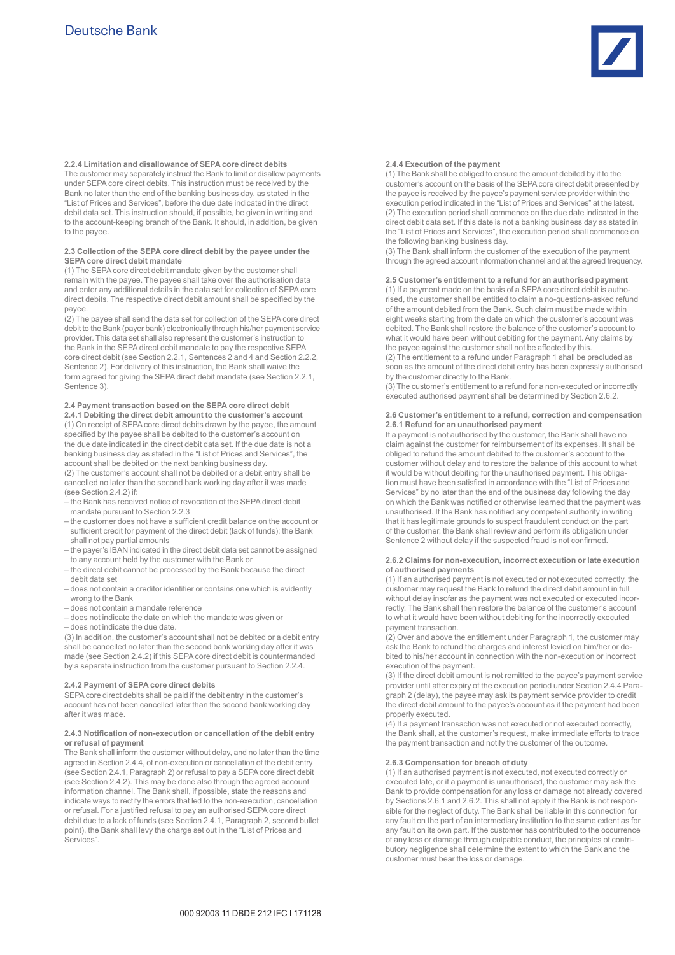

**2.2.4 Limitation and disallowance of SEPA core direct debits**  The customer may separately instruct the Bank to limit or disallow payments under SEPA core direct debits. This instruction must be received by the Bank no later than the end of the banking business day, as stated in the "List of Prices and Services", before the due date indicated in the direct debit data set. This instruction should, if possible, be given in writing and to the account-keeping branch of the Bank. It should, in addition, be given to the payee.

## **2.3 Collection of the SEPA core direct debit by the payee under the SEPA core direct debit mandate**

(1) The SEPA core direct debit mandate given by the customer shall remain with the payee. The payee shall take over the authorisation data and enter any additional details in the data set for collection of SEPA core direct debits. The respective direct debit amount shall be specified by the payee.

(2) The payee shall send the data set for collection of the SEPA core direct debit to the Bank (payer bank) electronically through his/her payment service provider. This data set shall also represent the customer's instruction to the Bank in the SEPA direct debit mandate to pay the respective SEPA core direct debit (see Section 2.2.1, Sentences 2 and 4 and Section 2.2.2, Sentence 2). For delivery of this instruction, the Bank shall waive the form agreed for giving the SEPA direct debit mandate (see Section 2.2.1, Sentence 3).

## **2.4 Payment transaction based on the SEPA core direct debit**

**2.4.1 Debiting the direct debit amount to the customer's account**  (1) On receipt of SEPA core direct debits drawn by the payee, the amount specified by the payee shall be debited to the customer's account on the due date indicated in the direct debit data set. If the due date is not a banking business day as stated in the "List of Prices and Services", the account shall be debited on the next banking business day.

(2) The customer's account shall not be debited or a debit entry shall be cancelled no later than the second bank working day after it was made (see Section 2.4.2) if:

- the Bank has received notice of revocation of the SEPA direct debit mandate pursuant to Section 2.2.3
- the customer does not have a sufficient credit balance on the account or sufficient credit for payment of the direct debit (lack of funds); the Bank shall not pay partial amounts
- the payer's IBAN indicated in the direct debit data set cannot be assigned to any account held by the customer with the Bank or
- the direct debit cannot be processed by the Bank because the direct debit data set
- does not contain a creditor identifier or contains one which is evidently wrong to the Bank
- does not contain a mandate reference
- does not indicate the date on which the mandate was given or
- does not indicate the due date.

(3) In addition, the customer's account shall not be debited or a debit entry shall be cancelled no later than the second bank working day after it was made (see Section 2.4.2) if this SEPA core direct debit is countermanded by a separate instruction from the customer pursuant to Section 2.2.4.

#### **2.4.2 Payment of SEPA core direct debits**

SEPA core direct debits shall be paid if the debit entry in the customer's account has not been cancelled later than the second bank working day after it was made.

#### **2.4.3 Notification of non-execution or cancellation of the debit entry or refusal of payment**

The Bank shall inform the customer without delay, and no later than the time agreed in Section 2.4.4, of non-execution or cancellation of the debit entry (see Section 2.4.1, Paragraph 2) or refusal to pay a SEPA core direct debit (see Section 2.4.2). This may be done also through the agreed account information channel. The Bank shall, if possible, state the reasons and indicate ways to rectify the errors that led to the non-execution, cancellation or refusal. For a justified refusal to pay an authorised SEPA core direct debit due to a lack of funds (see Section 2.4.1, Paragraph 2, second bullet point), the Bank shall levy the charge set out in the "List of Prices and Services".

#### **2.4.4 Execution of the payment**

(1) The Bank shall be obliged to ensure the amount debited by it to the customer's account on the basis of the SEPA core direct debit presented by the payee is received by the payee's payment service provider within the execution period indicated in the "List of Prices and Services" at the latest. (2) The execution period shall commence on the due date indicated in the direct debit data set. If this date is not a banking business day as stated in the "List of Prices and Services", the execution period shall commence on the following banking business day.

(3) The Bank shall inform the customer of the execution of the payment through the agreed account information channel and at the agreed frequency.

## **2.5 Customer's entitlement to a refund for an authorised payment**

(1) If a payment made on the basis of a SEPA core direct debit is authorised, the customer shall be entitled to claim a no-questions-asked refund of the amount debited from the Bank. Such claim must be made within eight weeks starting from the date on which the customer's account was debited. The Bank shall restore the balance of the customer's account to what it would have been without debiting for the payment. Any claims by the payee against the customer shall not be affected by this.

(2) The entitlement to a refund under Paragraph 1 shall be precluded as soon as the amount of the direct debit entry has been expressly authorised by the customer directly to the Bank.

(3) The customer's entitlement to a refund for a non-executed or incorrectly executed authorised payment shall be determined by Section 2.6.2.

#### **2.6 Customer's entitlement to a refund, correction and compensation 2.6.1 Refund for an unauthorised payment**

If a payment is not authorised by the customer, the Bank shall have no claim against the customer for reimbursement of its expenses. It shall be obliged to refund the amount debited to the customer's account to the customer without delay and to restore the balance of this account to what it would be without debiting for the unauthorised payment. This obligation must have been satisfied in accordance with the "List of Prices and Services" by no later than the end of the business day following the day on which the Bank was notified or otherwise learned that the payment was unauthorised. If the Bank has notified any competent authority in writing that it has legitimate grounds to suspect fraudulent conduct on the part of the customer, the Bank shall review and perform its obligation under Sentence 2 without delay if the suspected fraud is not confirmed.

#### **2.6.2 Claims for non-execution, incorrect execution or late execution of authorised payments**

(1) If an authorised payment is not executed or not executed correctly, the customer may request the Bank to refund the direct debit amount in full without delay insofar as the payment was not executed or executed incorrectly. The Bank shall then restore the balance of the customer's account to what it would have been without debiting for the incorrectly executed payment transaction.

(2) Over and above the entitlement under Paragraph 1, the customer may ask the Bank to refund the charges and interest levied on him/her or debited to his/her account in connection with the non-execution or incorrect execution of the payment.

(3) If the direct debit amount is not remitted to the payee's payment service provider until after expiry of the execution period under Section 2.4.4 Paragraph 2 (delay), the payee may ask its payment service provider to credit the direct debit amount to the payee's account as if the payment had been properly executed.

(4) If a payment transaction was not executed or not executed correctly, the Bank shall, at the customer's request, make immediate efforts to trace the payment transaction and notify the customer of the outcome.

## **2.6.3 Compensation for breach of duty**

(1) If an authorised payment is not executed, not executed correctly or executed late, or if a payment is unauthorised, the customer may ask the Bank to provide compensation for any loss or damage not already covered by Sections 2.6.1 and 2.6.2. This shall not apply if the Bank is not responsible for the neglect of duty. The Bank shall be liable in this connection for any fault on the part of an intermediary institution to the same extent as for any fault on its own part. If the customer has contributed to the occurrence of any loss or damage through culpable conduct, the principles of contributory negligence shall determine the extent to which the Bank and the customer must bear the loss or damage.